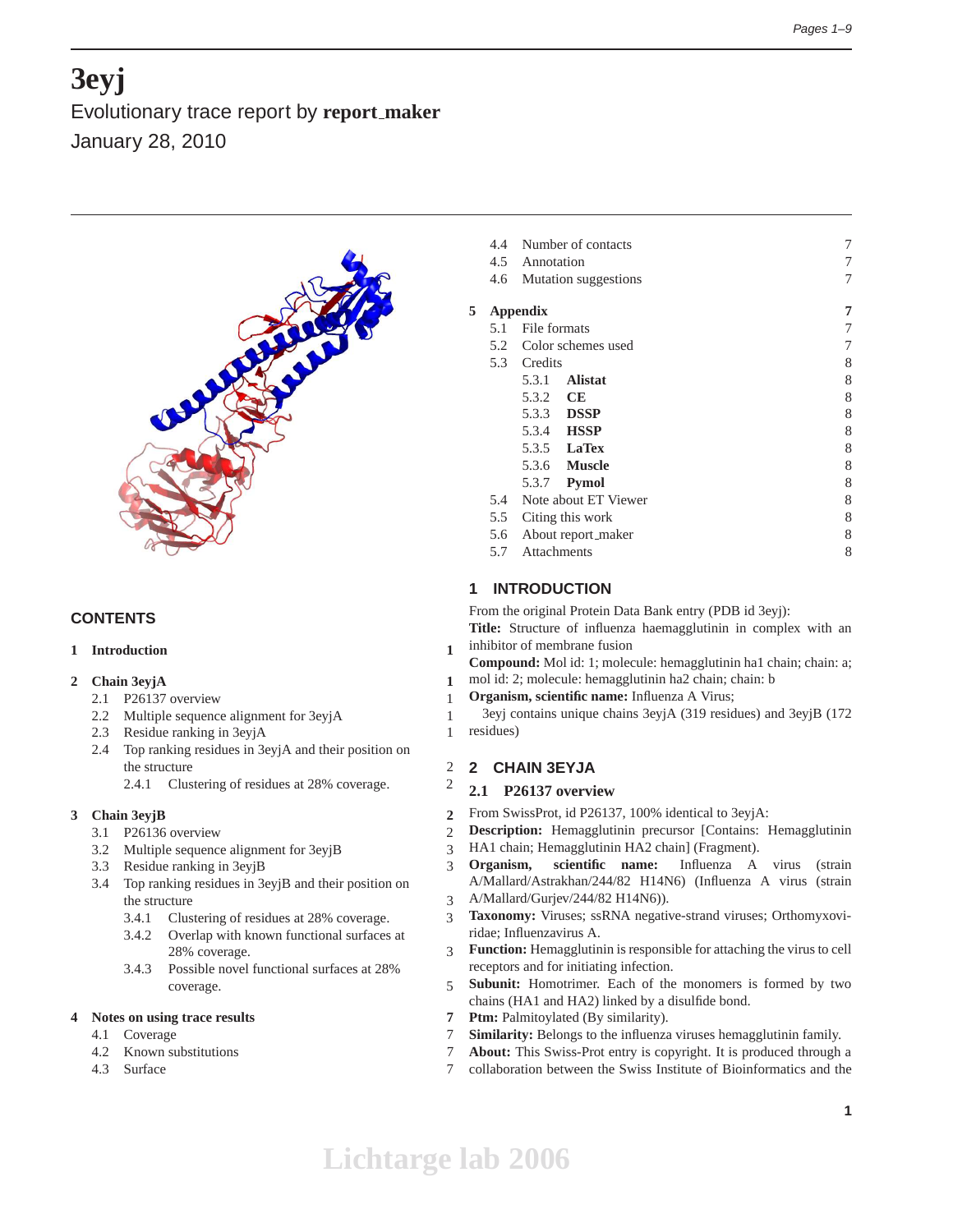# **3eyj**

Evolutionary trace report by **report maker** January 28, 2010



# **CONTENTS**

## **1 Introduction 1**

## **2 Chain 3eyjA 1**

- 2.1 P26137 overview 1
- 2.2 Multiple sequence alignment for 3eyjA 1
- 2.3 Residue ranking in 3eyjA 1
- 2.4 Top ranking residues in 3eyjA and their position on the structure 2
	- 2.4.1 Clustering of residues at 28% coverage. 2

# **3 Chain 3eyjB 2**

- 3.1 P26136 overview 2
- 3.2 Multiple sequence alignment for 3eyjB 3
- 3.3 Residue ranking in 3eyjB 3
- 3.4 Top ranking residues in 3eyjB and their position on the structure 3
	- 3.4.1 Clustering of residues at 28% coverage. 3
	- 3.4.2 Overlap with known functional surfaces at 28% coverage. 3
	- 3.4.3 Possible novel functional surfaces at 28% coverage. 5

## **4 Notes on using trace results 7**

- 4.1 Coverage 7
- 4.2 Known substitutions 7
- 4.3 Surface 7

|   | 4.4<br>4.6 | Number of contacts<br>4.5 Annotation<br>Mutation suggestions | 7<br>7<br>7 |
|---|------------|--------------------------------------------------------------|-------------|
| 5 |            | <b>Appendix</b>                                              | 7           |
|   | 5.1        | File formats                                                 | 7           |
|   |            | 5.2 Color schemes used                                       | 7           |
|   |            | 5.3 Credits                                                  | 8           |
|   |            | <b>Alistat</b><br>5.3.1                                      | 8           |
|   |            | 5.3.2 CE                                                     | 8           |
|   |            | 5.3.3 <b>DSSP</b>                                            | 8           |
|   |            | 5.3.4 <b>HSSP</b>                                            | 8           |
|   |            | 5.3.5 <b>LaTex</b>                                           | 8           |
|   |            | 5.3.6 <b>Muscle</b>                                          | 8           |
|   |            | 5.3.7 <b>Pymol</b>                                           | 8           |
|   | 5.4        | Note about ET Viewer                                         | 8           |
|   | 5.5        | Citing this work                                             | 8           |
|   | 5.6        | About report_maker                                           | 8           |
|   | 5.7        | Attachments                                                  | 8           |
|   |            |                                                              |             |

# **1 INTRODUCTION**

From the original Protein Data Bank entry (PDB id 3eyj): **Title:** Structure of influenza haemagglutinin in complex with an inhibitor of membrane fusion

- **Compound:** Mol id: 1; molecule: hemagglutinin ha1 chain; chain: a;
- mol id: 2; molecule: hemagglutinin ha2 chain; chain: b
- **Organism, scientific name:** Influenza A Virus;

3eyj contains unique chains 3eyjA (319 residues) and 3eyjB (172 residues)

## **2 CHAIN 3EYJA**

## **2.1 P26137 overview**

- From SwissProt, id P26137, 100% identical to 3eyjA:
- **Description:** Hemagglutinin precursor [Contains: Hemagglutinin
- HA1 chain; Hemagglutinin HA2 chain] (Fragment).
	- **Organism, scientific name:** Influenza A virus (strain A/Mallard/Astrakhan/244/82 H14N6) (Influenza A virus (strain
	- A/Mallard/Gurjev/244/82 H14N6)).
- **Taxonomy:** Viruses; ssRNA negative-strand viruses; Orthomyxoviridae; Influenzavirus A.
- **Function:** Hemagglutinin is responsible for attaching the virus to cell receptors and for initiating infection.
- **Subunit:** Homotrimer. Each of the monomers is formed by two chains (HA1 and HA2) linked by a disulfide bond.
- Ptm: Palmitoylated (By similarity).
- **Similarity:** Belongs to the influenza viruses hemagglutinin family.
- **About:** This Swiss-Prot entry is copyright. It is produced through a
- collaboration between the Swiss Institute of Bioinformatics and the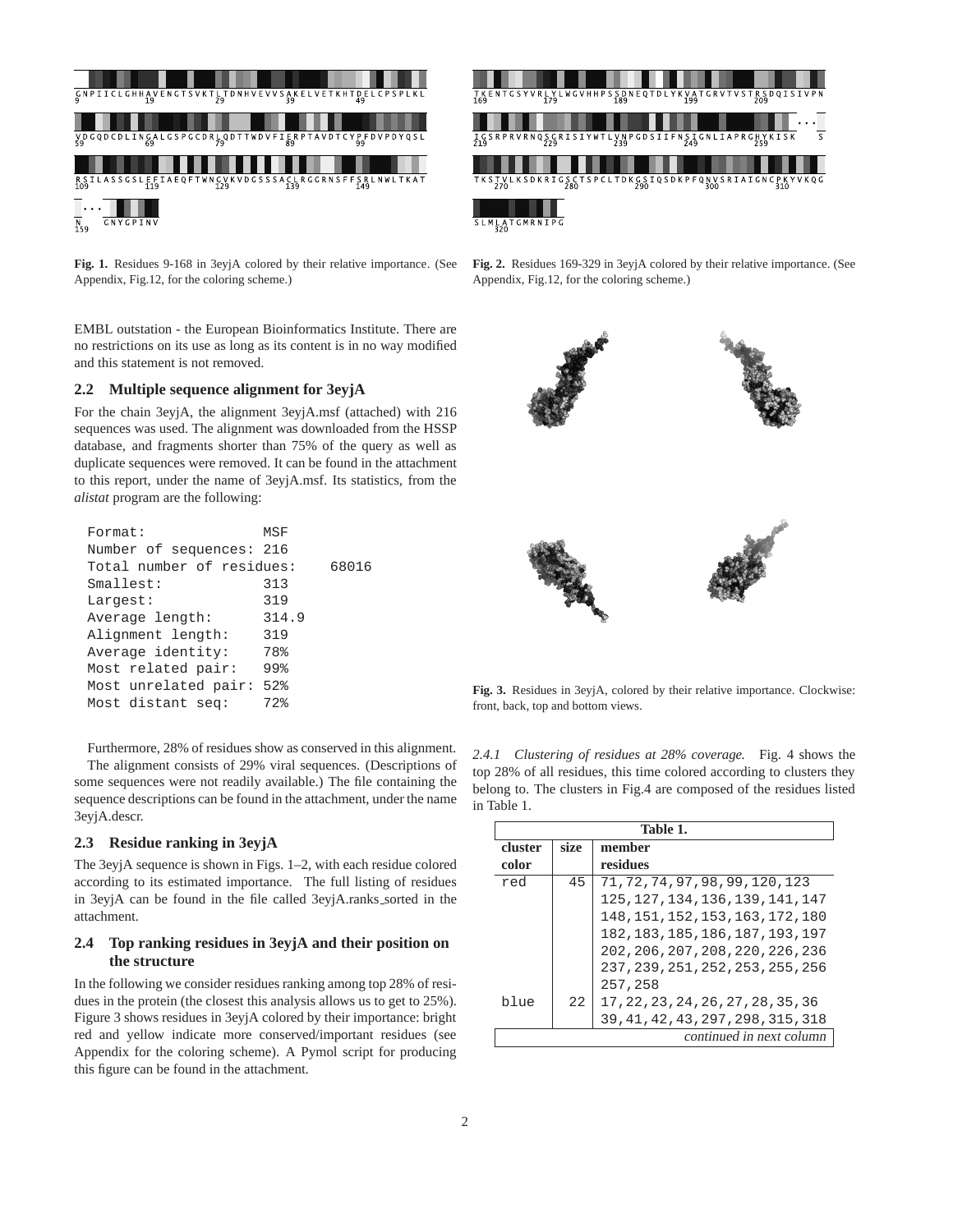



**Fig. 1.** Residues 9-168 in 3eyjA colored by their relative importance. (See Appendix, Fig.12, for the coloring scheme.)

EMBL outstation - the European Bioinformatics Institute. There are no restrictions on its use as long as its content is in no way modified and this statement is not removed.

## **2.2 Multiple sequence alignment for 3eyjA**

For the chain 3eyjA, the alignment 3eyjA.msf (attached) with 216 sequences was used. The alignment was downloaded from the HSSP database, and fragments shorter than 75% of the query as well as duplicate sequences were removed. It can be found in the attachment to this report, under the name of 3eyjA.msf. Its statistics, from the *alistat* program are the following:

| Format:                   | MSF   |       |
|---------------------------|-------|-------|
| Number of sequences: 216  |       |       |
| Total number of residues: |       | 68016 |
| Smallest:                 | 313   |       |
| Largest:                  | 319   |       |
| Average length:           | 314.9 |       |
| Alignment length:         | 319   |       |
| Average identity:         | 78%   |       |
| Most related pair:        | 99%   |       |
| Most unrelated pair:      | 52%   |       |
| Most distant seq:         | 72%   |       |
|                           |       |       |

Furthermore, 28% of residues show as conserved in this alignment. The alignment consists of 29% viral sequences. (Descriptions of some sequences were not readily available.) The file containing the sequence descriptions can be found in the attachment, under the name 3eyjA.descr.

## **2.3 Residue ranking in 3eyjA**

The 3eyjA sequence is shown in Figs. 1–2, with each residue colored according to its estimated importance. The full listing of residues in 3eyjA can be found in the file called 3eyjA.ranks\_sorted in the attachment.

## **2.4 Top ranking residues in 3eyjA and their position on the structure**

In the following we consider residues ranking among top 28% of residues in the protein (the closest this analysis allows us to get to 25%). Figure 3 shows residues in 3eyjA colored by their importance: bright red and yellow indicate more conserved/important residues (see Appendix for the coloring scheme). A Pymol script for producing this figure can be found in the attachment.

**Fig. 2.** Residues 169-329 in 3eyjA colored by their relative importance. (See Appendix, Fig.12, for the coloring scheme.)



**Fig. 3.** Residues in 3eyjA, colored by their relative importance. Clockwise: front, back, top and bottom views.

*2.4.1 Clustering of residues at 28% coverage.* Fig. 4 shows the top 28% of all residues, this time colored according to clusters they belong to. The clusters in Fig.4 are composed of the residues listed in Table 1.

|         | Table 1. |                                    |  |  |  |
|---------|----------|------------------------------------|--|--|--|
| cluster | size     | member                             |  |  |  |
| color   |          | residues                           |  |  |  |
| red     | 45       | 71, 72, 74, 97, 98, 99, 120, 123   |  |  |  |
|         |          | 125, 127, 134, 136, 139, 141, 147  |  |  |  |
|         |          | 148, 151, 152, 153, 163, 172, 180  |  |  |  |
|         |          | 182, 183, 185, 186, 187, 193, 197  |  |  |  |
|         |          | 202, 206, 207, 208, 220, 226, 236  |  |  |  |
|         |          | 237, 239, 251, 252, 253, 255, 256  |  |  |  |
|         |          | 257,258                            |  |  |  |
| blue    | 22       | 17, 22, 23, 24, 26, 27, 28, 35, 36 |  |  |  |
|         |          | 39, 41, 42, 43, 297, 298, 315, 318 |  |  |  |
|         |          | continued in next column           |  |  |  |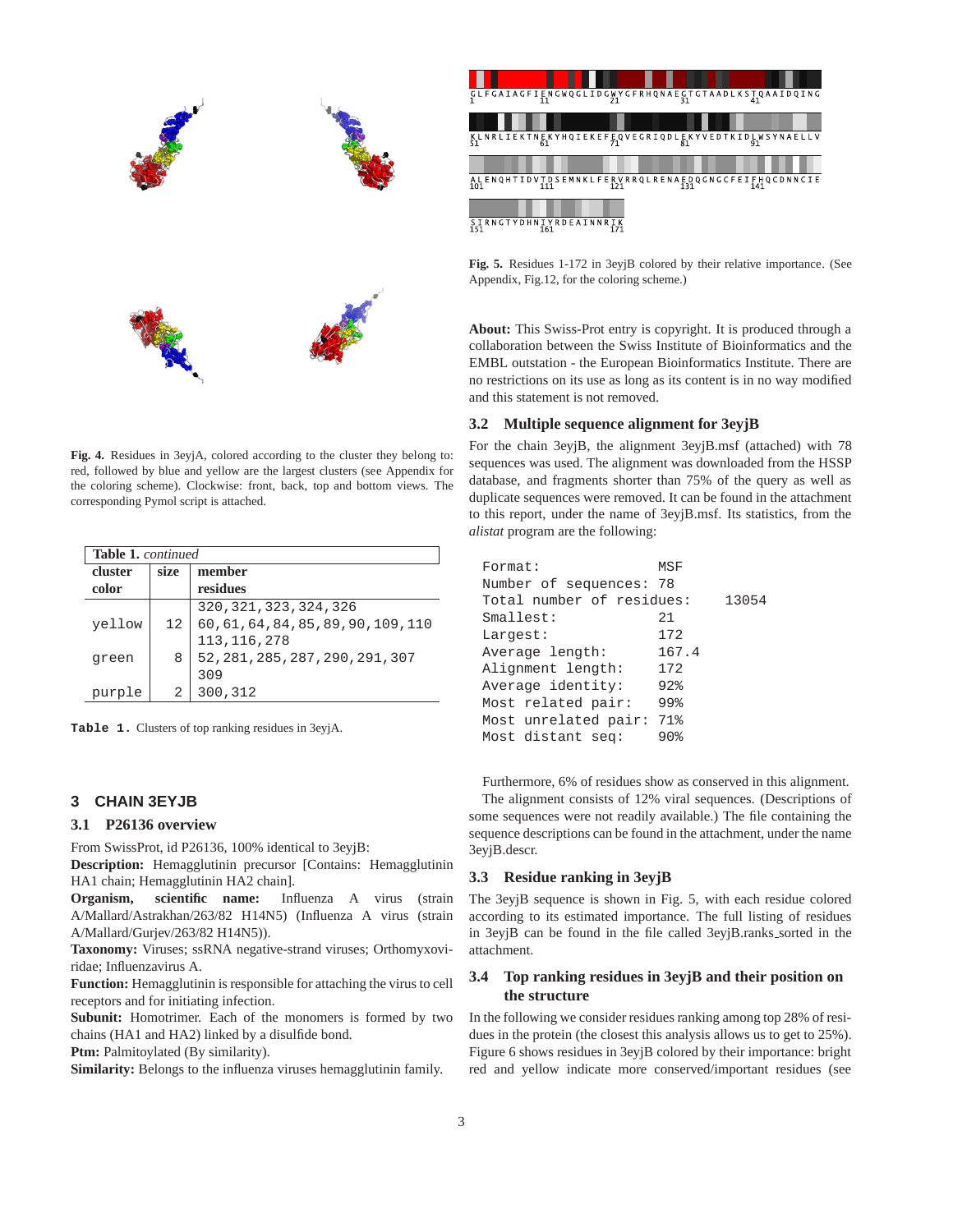

**Fig. 4.** Residues in 3eyjA, colored according to the cluster they belong to: red, followed by blue and yellow are the largest clusters (see Appendix for the coloring scheme). Clockwise: front, back, top and bottom views. The corresponding Pymol script is attached.

|         | <b>Table 1.</b> continued |                                      |  |  |  |
|---------|---------------------------|--------------------------------------|--|--|--|
| cluster | size                      | member                               |  |  |  |
| color   |                           | residues                             |  |  |  |
|         |                           | 320, 321, 323, 324, 326              |  |  |  |
| yellow  | 12                        | 60, 61, 64, 84, 85, 89, 90, 109, 110 |  |  |  |
|         |                           | 113, 116, 278                        |  |  |  |
| green   | 8                         | 52, 281, 285, 287, 290, 291, 307     |  |  |  |
|         |                           | 309                                  |  |  |  |
| purple  | 2                         | 300,312                              |  |  |  |

**Table 1.** Clusters of top ranking residues in 3eyjA.

## **3 CHAIN 3EYJB**

#### **3.1 P26136 overview**

From SwissProt, id P26136, 100% identical to 3eyjB:

**Description:** Hemagglutinin precursor [Contains: Hemagglutinin HA1 chain; Hemagglutinin HA2 chain].

**Organism, scientific name:** Influenza A virus (strain A/Mallard/Astrakhan/263/82 H14N5) (Influenza A virus (strain A/Mallard/Gurjev/263/82 H14N5)).

**Taxonomy:** Viruses; ssRNA negative-strand viruses; Orthomyxoviridae; Influenzavirus A.

**Function:** Hemagglutinin is responsible for attaching the virus to cell receptors and for initiating infection.

**Subunit:** Homotrimer. Each of the monomers is formed by two chains (HA1 and HA2) linked by a disulfide bond.

Ptm: Palmitoylated (By similarity).

**Similarity:** Belongs to the influenza viruses hemagglutinin family.

| $\frac{\texttt{GLFGAIAGFIENGWQGLIDGWYGFRHQNAEGTGTAADLKSTQAAIDQING}}{21}$                                                 |  |
|--------------------------------------------------------------------------------------------------------------------------|--|
| KLNRLIEKTNEKYHQIEKEFEQVEGRIQDLEKYVEDTKIDLWSYNAELLV<br>51<br>81<br>61                                                     |  |
| A L E N Q H T I D V T D S E M N K L F E R V R R Q L R E N A E D Q G N G C F E I F H Q C D N N C I E<br>111<br>101<br>131 |  |
| SIRNGTYDHNIYRDEAINNRIK<br>161<br>151                                                                                     |  |

**Fig. 5.** Residues 1-172 in 3eyjB colored by their relative importance. (See Appendix, Fig.12, for the coloring scheme.)

**About:** This Swiss-Prot entry is copyright. It is produced through a collaboration between the Swiss Institute of Bioinformatics and the EMBL outstation - the European Bioinformatics Institute. There are no restrictions on its use as long as its content is in no way modified and this statement is not removed.

#### **3.2 Multiple sequence alignment for 3eyjB**

For the chain 3eyjB, the alignment 3eyjB.msf (attached) with 78 sequences was used. The alignment was downloaded from the HSSP database, and fragments shorter than 75% of the query as well as duplicate sequences were removed. It can be found in the attachment to this report, under the name of 3eyjB.msf. Its statistics, from the *alistat* program are the following:

| Format:                   | MSF    |       |
|---------------------------|--------|-------|
| Number of sequences: 78   |        |       |
| Total number of residues: |        | 13054 |
| Smallest:                 | 2.1    |       |
| Largest:                  | 172    |       |
| Average length:           | 167.4  |       |
| Alignment length:         | 172    |       |
| Average identity:         | 92%    |       |
| Most related pair:        | 99%    |       |
| Most unrelated pair:      | 71%    |       |
| Most distant seq:         | $90\%$ |       |

Furthermore, 6% of residues show as conserved in this alignment. The alignment consists of 12% viral sequences. (Descriptions of some sequences were not readily available.) The file containing the sequence descriptions can be found in the attachment, under the name 3eyjB.descr.

#### **3.3 Residue ranking in 3eyjB**

The 3eyjB sequence is shown in Fig. 5, with each residue colored according to its estimated importance. The full listing of residues in 3eyjB can be found in the file called 3eyjB.ranks sorted in the attachment.

## **3.4 Top ranking residues in 3eyjB and their position on the structure**

In the following we consider residues ranking among top 28% of residues in the protein (the closest this analysis allows us to get to 25%). Figure 6 shows residues in 3eyjB colored by their importance: bright red and yellow indicate more conserved/important residues (see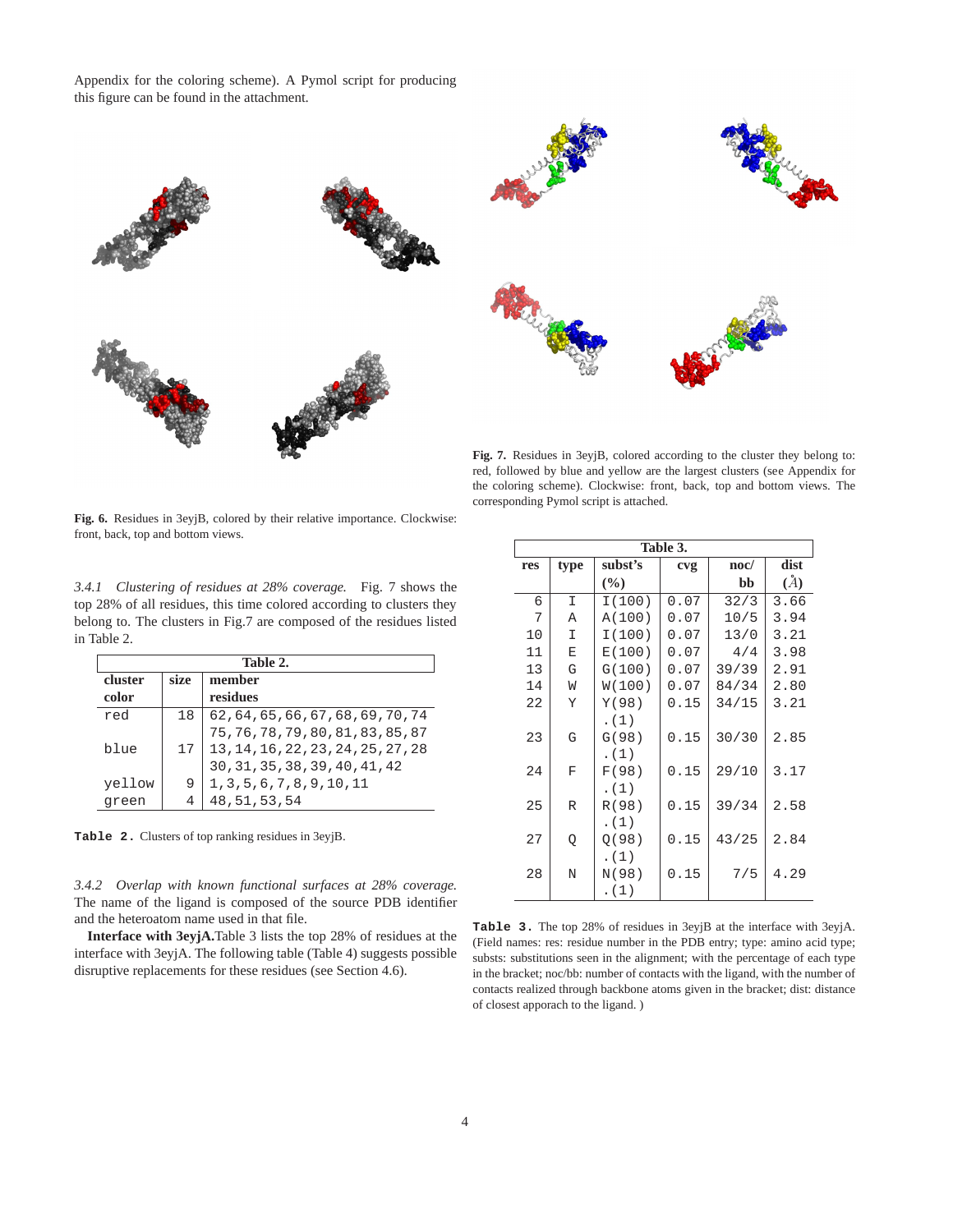Appendix for the coloring scheme). A Pymol script for producing this figure can be found in the attachment.



**Fig. 7.** Residues in 3eyjB, colored according to the cluster they belong to: red, followed by blue and yellow are the largest clusters (see Appendix for the coloring scheme). Clockwise: front, back, top and bottom views. The corresponding Pymol script is attached.

**Fig. 6.** Residues in 3eyjB, colored by their relative importance. Clockwise: front, back, top and bottom views.

*3.4.1 Clustering of residues at 28% coverage.* Fig. 7 shows the top 28% of all residues, this time colored according to clusters they belong to. The clusters in Fig.7 are composed of the residues listed in Table 2.

| Table 2. |      |                                                                                                                                                                                                                                            |  |  |
|----------|------|--------------------------------------------------------------------------------------------------------------------------------------------------------------------------------------------------------------------------------------------|--|--|
| cluster  | size | member                                                                                                                                                                                                                                     |  |  |
| color    |      | residues                                                                                                                                                                                                                                   |  |  |
| red      | 18   | $\begin{array}{l} 62\,, 64\,, 65\,, 66\,, 67\,, 68\,, 69\,, 70\,, 74\\ 75\,, 76\,, 78\,, 79\,, 80\,, 81\,, 83\,, 85\,, 87\\ 13\,, 14\,, 16\,, 22\,, 23\,, 24\,, 25\,, 27\,, 28\\ 30\,, 31\,, 35\,, 38\,, 39\,, 40\,, 41\,, 42 \end{array}$ |  |  |
|          |      |                                                                                                                                                                                                                                            |  |  |
| blue     | 17   |                                                                                                                                                                                                                                            |  |  |
|          |      |                                                                                                                                                                                                                                            |  |  |
| yellow   |      | $1\,,3\,,5\,,6\,,7\,,8\,,9\,,10\,,11$                                                                                                                                                                                                      |  |  |
| green    |      | 48, 51, 53, 54                                                                                                                                                                                                                             |  |  |

**Table 2.** Clusters of top ranking residues in 3eyjB.

*3.4.2 Overlap with known functional surfaces at 28% coverage.* The name of the ligand is composed of the source PDB identifier and the heteroatom name used in that file.

**Interface with 3eyjA.**Table 3 lists the top 28% of residues at the interface with 3eyjA. The following table (Table 4) suggests possible disruptive replacements for these residues (see Section 4.6).

|     | Table 3.     |               |      |                 |      |  |  |  |  |
|-----|--------------|---------------|------|-----------------|------|--|--|--|--|
| res | type         | subst's       | cvg  | $\mathbf{noc}/$ | dist |  |  |  |  |
|     |              | $\frac{6}{6}$ |      | bb              | (A)  |  |  |  |  |
| 6   | $\mathbb{I}$ | I(100)        | 0.07 | 32/3            | 3.66 |  |  |  |  |
| 7   | A            | A(100)        | 0.07 | 10/5            | 3.94 |  |  |  |  |
| 10  | I            | I(100)        | 0.07 | 13/0            | 3.21 |  |  |  |  |
| 11  | E            | E(100)        | 0.07 | 4/4             | 3.98 |  |  |  |  |
| 13  | G            | G(100)        | 0.07 | 39/39           | 2.91 |  |  |  |  |
| 14  | W            | W(100)        | 0.07 | 84/34           | 2.80 |  |  |  |  |
| 22  | Y            | Y(98)         | 0.15 | 34/15           | 3.21 |  |  |  |  |
|     |              | . (1)         |      |                 |      |  |  |  |  |
| 23  | G            | G(98)         | 0.15 | 30/30           | 2.85 |  |  |  |  |
|     |              | . (1)         |      |                 |      |  |  |  |  |
| 24  | F            | F(98)         | 0.15 | 29/10           | 3.17 |  |  |  |  |
|     |              | . (1)         |      |                 |      |  |  |  |  |
| 25  | R            | R(98)         | 0.15 | 39/34           | 2.58 |  |  |  |  |
|     |              | . (1)         |      |                 |      |  |  |  |  |
| 27  | Q            | Q(98)         | 0.15 | 43/25           | 2.84 |  |  |  |  |
|     |              | . (1)         |      |                 |      |  |  |  |  |
| 28  | N            | N(98)         | 0.15 | 7/5             | 4.29 |  |  |  |  |
|     |              | . (1)         |      |                 |      |  |  |  |  |

**Table 3.** The top 28% of residues in 3eyjB at the interface with 3eyjA. (Field names: res: residue number in the PDB entry; type: amino acid type; substs: substitutions seen in the alignment; with the percentage of each type in the bracket; noc/bb: number of contacts with the ligand, with the number of contacts realized through backbone atoms given in the bracket; dist: distance of closest apporach to the ligand. )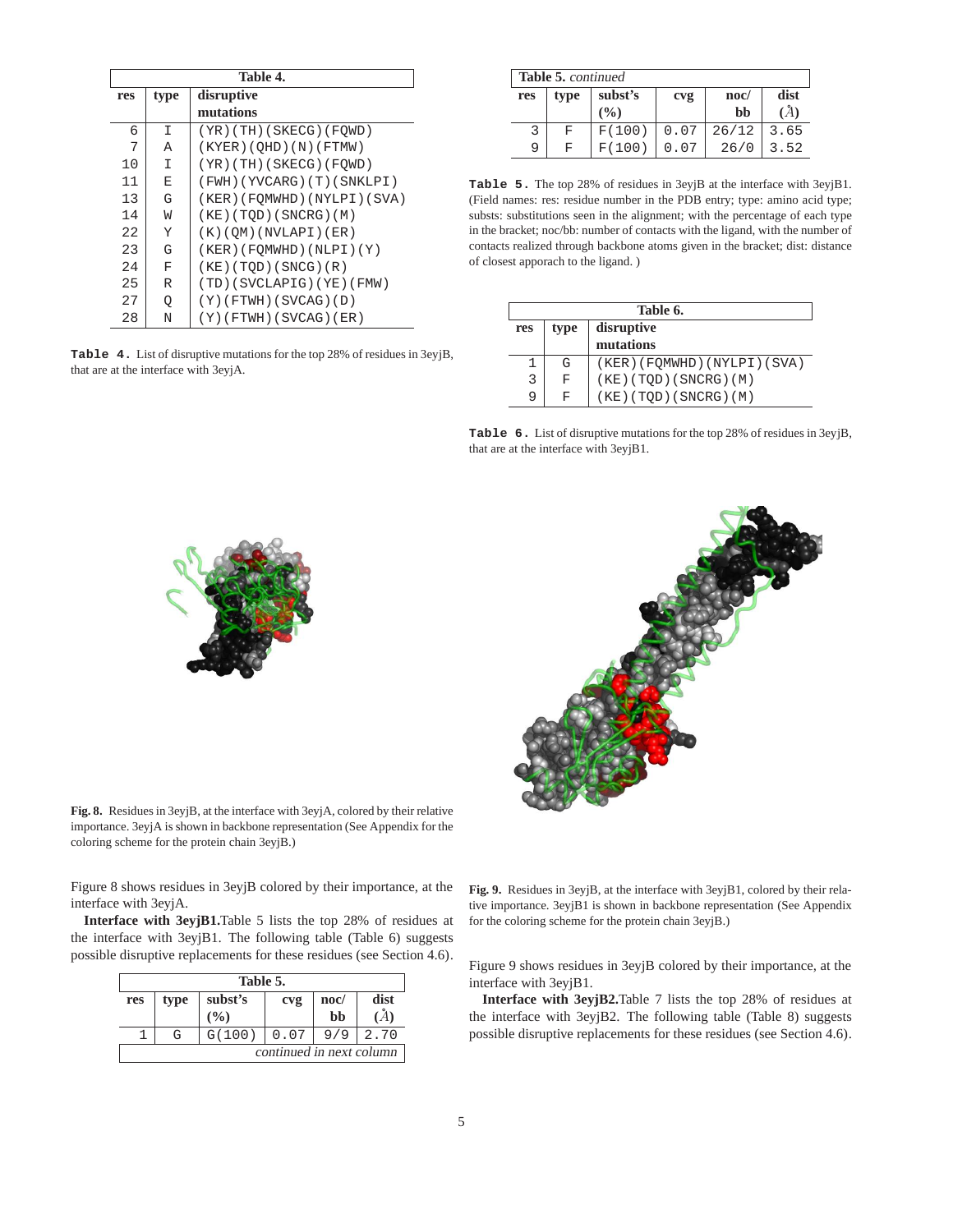| Table 4. |      |                              |  |  |
|----------|------|------------------------------|--|--|
| res      | type | disruptive                   |  |  |
|          |      | mutations                    |  |  |
| 6        | I    | $(YR)$ (TH) (SKECG) (FOWD)   |  |  |
| 7        | А    | (KYER)(QHD)(N)(FTMW)         |  |  |
| 10       | I    | (YR)(TH)(SKECG)(FQWD)        |  |  |
| 11       | E    | (FWH)(YVCARG)(T)(SNKLPI)     |  |  |
| 13       | G    | (KER) (FOMWHD) (NYLPI) (SVA) |  |  |
| 14       | W    | (KE) (TQD) (SNCRG) (M)       |  |  |
| 22       | Y    | $(K)$ (OM) (NVLAPI) (ER)     |  |  |
| 23       | G    | (KER) (FOMWHD) (NLPI) (Y)    |  |  |
| 24       | F    | (KE) (TQD) (SNCG) (R)        |  |  |
| 25       | R    | (TD)(SVCLAPIG)(YE)(FMW)      |  |  |
| 27       | Q    | $(Y)$ (FTWH) (SVCAG) (D)     |  |  |
| 28       | N    | $(Y)$ (FTWH) (SVCAG) (ER)    |  |  |

**Table 4.** List of disruptive mutations for the top 28% of residues in 3eyjB, that are at the interface with 3eyjA.

|     | Table 5. continued |        |             |       |      |  |  |
|-----|--------------------|--------|-------------|-------|------|--|--|
| res | type               | cvg    | $\bf{noc}/$ | dist  |      |  |  |
|     |                    | (9/0)  |             | bb    | Å)   |  |  |
|     | F                  | F(100) | 0.07        | 26/12 | 3.65 |  |  |
| 9   | F                  | F(100) | 0.07        | 26/0  | 3.52 |  |  |

**Table 5.** The top 28% of residues in 3eyjB at the interface with 3eyjB1. (Field names: res: residue number in the PDB entry; type: amino acid type; substs: substitutions seen in the alignment; with the percentage of each type in the bracket; noc/bb: number of contacts with the ligand, with the number of contacts realized through backbone atoms given in the bracket; dist: distance of closest apporach to the ligand. )

| Table 6.                           |   |                        |  |  |
|------------------------------------|---|------------------------|--|--|
| disruptive<br>type<br>res          |   |                        |  |  |
| mutations                          |   |                        |  |  |
| (KER) (FQMWHD) (NYLPI) (SVA)<br>G  |   |                        |  |  |
| 3                                  | F | (KE) (TQD) (SNCRG) (M) |  |  |
| $(KE)$ (TQD) (SNCRG) (M)<br>9<br>F |   |                        |  |  |

**Table 6.** List of disruptive mutations for the top 28% of residues in 3eyjB, that are at the interface with 3eyjB1.





**Fig. 8.** Residues in 3eyjB, at the interface with 3eyjA, colored by their relative importance. 3eyjA is shown in backbone representation (See Appendix for the coloring scheme for the protein chain 3eyjB.)

Figure 8 shows residues in 3eyjB colored by their importance, at the interface with 3eyjA.

**Interface with 3eyjB1.**Table 5 lists the top 28% of residues at the interface with 3eyjB1. The following table (Table 6) suggests possible disruptive replacements for these residues (see Section 4.6).

| Table 5.                 |      |         |      |                 |      |  |  |
|--------------------------|------|---------|------|-----------------|------|--|--|
| res                      | type | subst's | cvg  | $\mathbf{noc}/$ | dist |  |  |
|                          |      | $($ %)  |      | bb              |      |  |  |
|                          | G    | G(100)  | 0.07 |                 | 2.70 |  |  |
| continued in next column |      |         |      |                 |      |  |  |

**Fig. 9.** Residues in 3eyjB, at the interface with 3eyjB1, colored by their relative importance. 3eyjB1 is shown in backbone representation (See Appendix for the coloring scheme for the protein chain 3eyjB.)

Figure 9 shows residues in 3eyjB colored by their importance, at the interface with 3eyjB1.

**Interface with 3eyjB2.**Table 7 lists the top 28% of residues at the interface with 3eyjB2. The following table (Table 8) suggests possible disruptive replacements for these residues (see Section 4.6).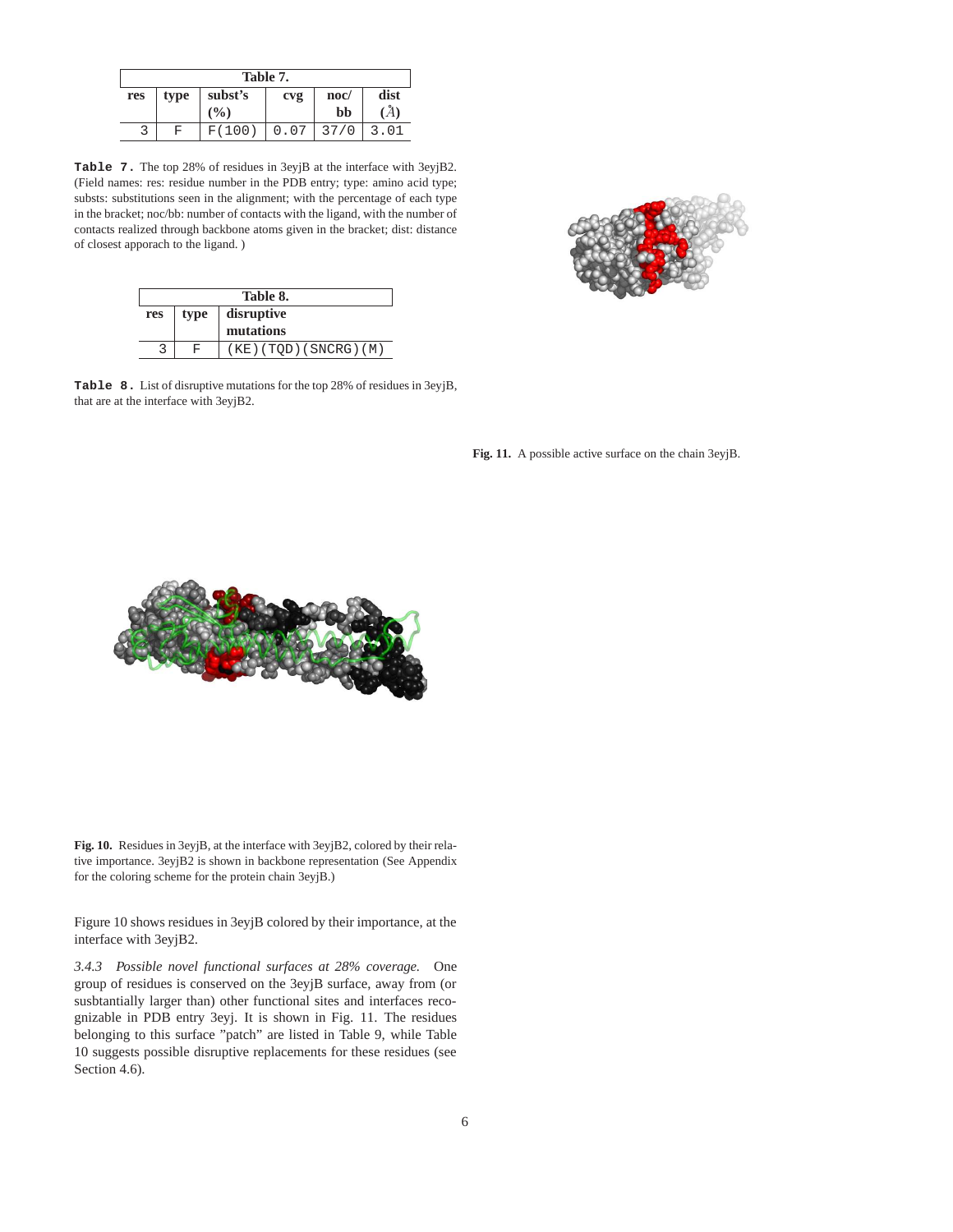| Table 7. |      |         |      |      |          |
|----------|------|---------|------|------|----------|
| res      | type | subst's | cvg  | noc/ | dist     |
|          |      | (%)     |      | bb   | $\bm{A}$ |
|          | F    | F(100)  | 0.07 | 37/0 | 3.01     |

**Table 7.** The top 28% of residues in 3eyjB at the interface with 3eyjB2. (Field names: res: residue number in the PDB entry; type: amino acid type; substs: substitutions seen in the alignment; with the percentage of each type in the bracket; noc/bb: number of contacts with the ligand, with the number of contacts realized through backbone atoms given in the bracket; dist: distance of closest apporach to the ligand. )

| Table 8. |      |                        |  |
|----------|------|------------------------|--|
| res      | type | disruptive             |  |
|          |      | mutations              |  |
|          | ਸਾ   | (KE) (TOD) (SNCRG) (M) |  |

**Table 8.** List of disruptive mutations for the top 28% of residues in 3eyjB, that are at the interface with 3eyjB2.





**Fig. 10.** Residues in 3eyjB, at the interface with 3eyjB2, colored by their relative importance. 3eyjB2 is shown in backbone representation (See Appendix for the coloring scheme for the protein chain 3eyjB.)

Figure 10 shows residues in 3eyjB colored by their importance, at the interface with 3eyjB2.

*3.4.3 Possible novel functional surfaces at 28% coverage.* One group of residues is conserved on the 3eyjB surface, away from (or susbtantially larger than) other functional sites and interfaces recognizable in PDB entry 3eyj. It is shown in Fig. 11. The residues belonging to this surface "patch" are listed in Table 9, while Table 10 suggests possible disruptive replacements for these residues (see Section 4.6).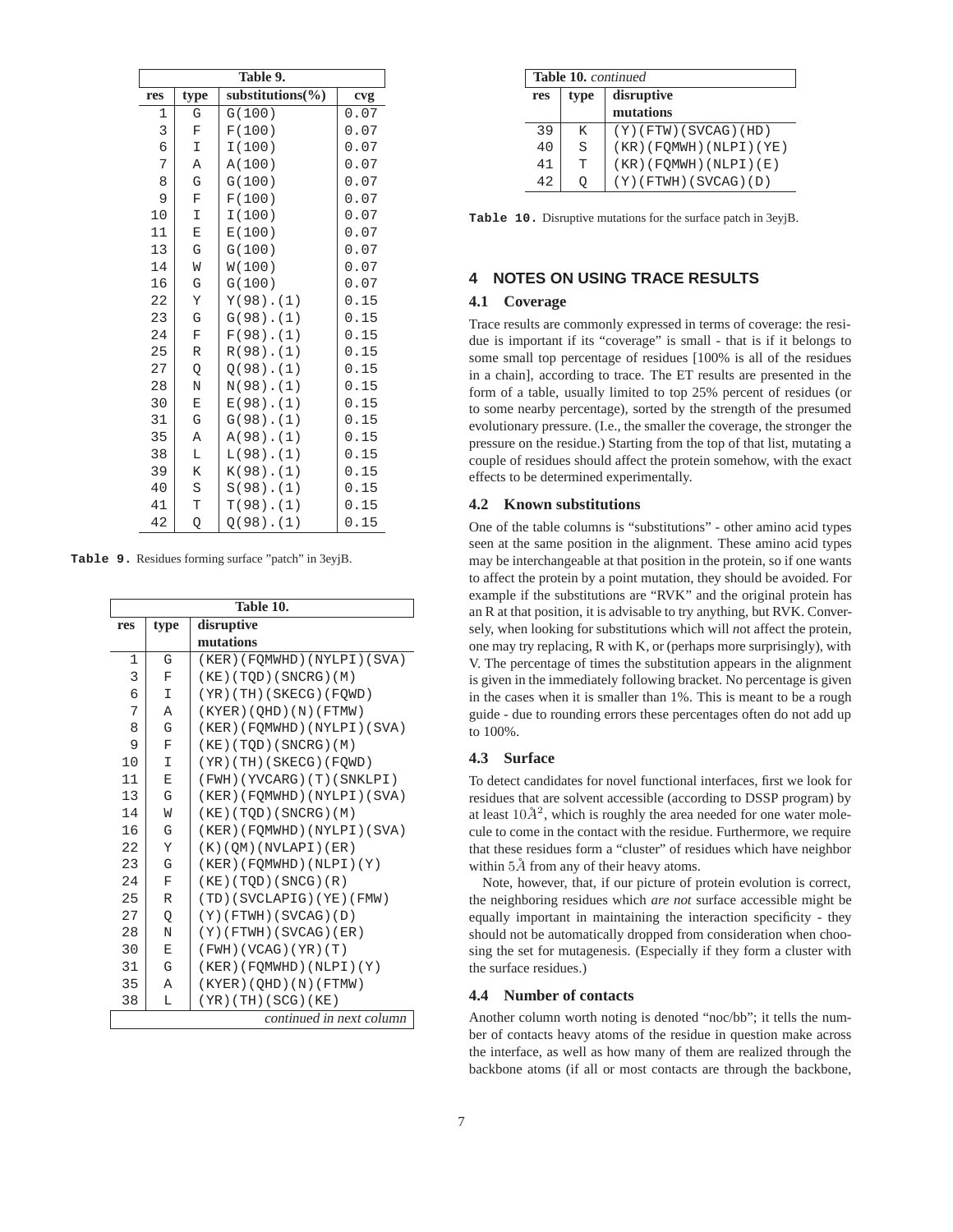| Table 9. |             |                       |      |
|----------|-------------|-----------------------|------|
| res      | type        | substitutions $(\% )$ | cvg  |
| 1        | G           | G(100)                | 0.07 |
| 3        | F           | F(100)                | 0.07 |
| 6        | I           | I(100)                | 0.07 |
| 7        | Α           | A(100)                | 0.07 |
| 8        | G           | G(100)                | 0.07 |
| 9        | F           | F(100)                | 0.07 |
| 10       | I           | I(100)                | 0.07 |
| 11       | E           | E(100)                | 0.07 |
| 13       | G           | G(100)                | 0.07 |
| 14       | W           | W(100)                | 0.07 |
| 16       | G           | G(100)                | 0.07 |
| 22       | Υ           | $Y(98)$ . $(1)$       | 0.15 |
| 23       | G           | $G(98)$ . $(1)$       | 0.15 |
| 24       | $\mathbf F$ | $F(98)$ . $(1)$       | 0.15 |
| 25       | $\mathbb R$ | $R(98)$ . $(1)$       | 0.15 |
| 27       | Q           | $Q(98)$ . $(1)$       | 0.15 |
| 28       | N           | $N(98)$ . $(1)$       | 0.15 |
| 30       | E           | $E(98)$ . $(1)$       | 0.15 |
| 31       | G           | $G(98)$ . $(1)$       | 0.15 |
| 35       | Α           | $A(98)$ . $(1)$       | 0.15 |
| 38       | L           | $L(98)$ . $(1)$       | 0.15 |
| 39       | K           | $K(98)$ . $(1)$       | 0.15 |
| 40       | $\rm S$     | $S(98)$ . $(1)$       | 0.15 |
| 41       | T           | $T(98)$ . $(1)$       | 0.15 |
| 42       | Q           | $Q(98)$ . $(1)$       | 0.15 |

**Table 9.** Residues forming surface "patch" in 3eyjB.

| Table 10.    |              |                              |  |
|--------------|--------------|------------------------------|--|
| res          | type         | disruptive                   |  |
|              |              | mutations                    |  |
| $\mathbf{1}$ | G            | (KER) (FQMWHD) (NYLPI) (SVA) |  |
| 3            | $\mathbf{F}$ | (KE)(TOD)(SNCRG)(M)          |  |
| 6            | I            | (YR)(TH)(SKECG)(FOWD)        |  |
| 7            | A            | (KYER) (OHD) (N) (FTMW)      |  |
| 8            | G            | (KER)(FOMWHD)(NYLPI)(SVA)    |  |
| 9            | $\mathbf{F}$ | (KE) (TOD) (SNCRG) (M)       |  |
| 10           | I            | (YR)(TH)(SKECG)(FOWD)        |  |
| 11           | Ε            | (FWH)(YVCARG)(T)(SNKLPI)     |  |
| 13           | G            | (KER) (FOMWHD) (NYLPI) (SVA) |  |
| 14           | W            | (KE) (TOD) (SNCRG) (M)       |  |
| 16           | G            | (KER)(FOMWHD)(NYLPI)(SVA)    |  |
| 22           | Υ            | (K)(QM)(NVLAPI)(ER)          |  |
| 23           | G            | (KER) (FOMWHD) (NLPI) (Y)    |  |
| 24           | $\mathbf{F}$ | (KE) (TQD) (SNCG) (R)        |  |
| 25           | R            | (TD)(SVCLAPIG)(YE)(FMW)      |  |
| 27           | Q            | $(Y)$ (FTWH) (SVCAG) (D)     |  |
| 28           | N            | $(Y)$ (FTWH) (SVCAG) (ER)    |  |
| 30           | E            | (FWH) (VCAG) (YR) (T)        |  |
| 31           | G            | (KER)(FOMWHD)(NLPI)(Y)       |  |
| 35           | Α            | (KYER)(OHD)(N)(FTMW)         |  |
| 38           | L            | (YR)(TH)(SCG)(KE)            |  |
|              |              | continued in next column     |  |

|     | <b>Table 10.</b> continued |                          |  |
|-----|----------------------------|--------------------------|--|
| res | type                       | disruptive               |  |
|     |                            | mutations                |  |
| 39  | K                          | $(Y)$ (FTW) (SVCAG) (HD) |  |
| 40  | S.                         | (KR) (FQMWH) (NLPI) (YE) |  |
| 41  | T                          | (KR) (FQMWH) (NLPI) (E)  |  |
| 42  |                            | $(Y)$ (FTWH) (SVCAG) (D) |  |

**Table 10.** Disruptive mutations for the surface patch in 3eyjB.

## **4 NOTES ON USING TRACE RESULTS**

#### **4.1 Coverage**

Trace results are commonly expressed in terms of coverage: the residue is important if its "coverage" is small - that is if it belongs to some small top percentage of residues [100% is all of the residues in a chain], according to trace. The ET results are presented in the form of a table, usually limited to top 25% percent of residues (or to some nearby percentage), sorted by the strength of the presumed evolutionary pressure. (I.e., the smaller the coverage, the stronger the pressure on the residue.) Starting from the top of that list, mutating a couple of residues should affect the protein somehow, with the exact effects to be determined experimentally.

#### **4.2 Known substitutions**

One of the table columns is "substitutions" - other amino acid types seen at the same position in the alignment. These amino acid types may be interchangeable at that position in the protein, so if one wants to affect the protein by a point mutation, they should be avoided. For example if the substitutions are "RVK" and the original protein has an R at that position, it is advisable to try anything, but RVK. Conversely, when looking for substitutions which will *n*ot affect the protein, one may try replacing, R with K, or (perhaps more surprisingly), with V. The percentage of times the substitution appears in the alignment is given in the immediately following bracket. No percentage is given in the cases when it is smaller than 1%. This is meant to be a rough guide - due to rounding errors these percentages often do not add up to 100%.

#### **4.3 Surface**

To detect candidates for novel functional interfaces, first we look for residues that are solvent accessible (according to DSSP program) by at least  $10\AA^2$ , which is roughly the area needed for one water molecule to come in the contact with the residue. Furthermore, we require that these residues form a "cluster" of residues which have neighbor within  $5\AA$  from any of their heavy atoms.

Note, however, that, if our picture of protein evolution is correct, the neighboring residues which *are not* surface accessible might be equally important in maintaining the interaction specificity - they should not be automatically dropped from consideration when choosing the set for mutagenesis. (Especially if they form a cluster with the surface residues.)

#### **4.4 Number of contacts**

Another column worth noting is denoted "noc/bb"; it tells the number of contacts heavy atoms of the residue in question make across the interface, as well as how many of them are realized through the backbone atoms (if all or most contacts are through the backbone,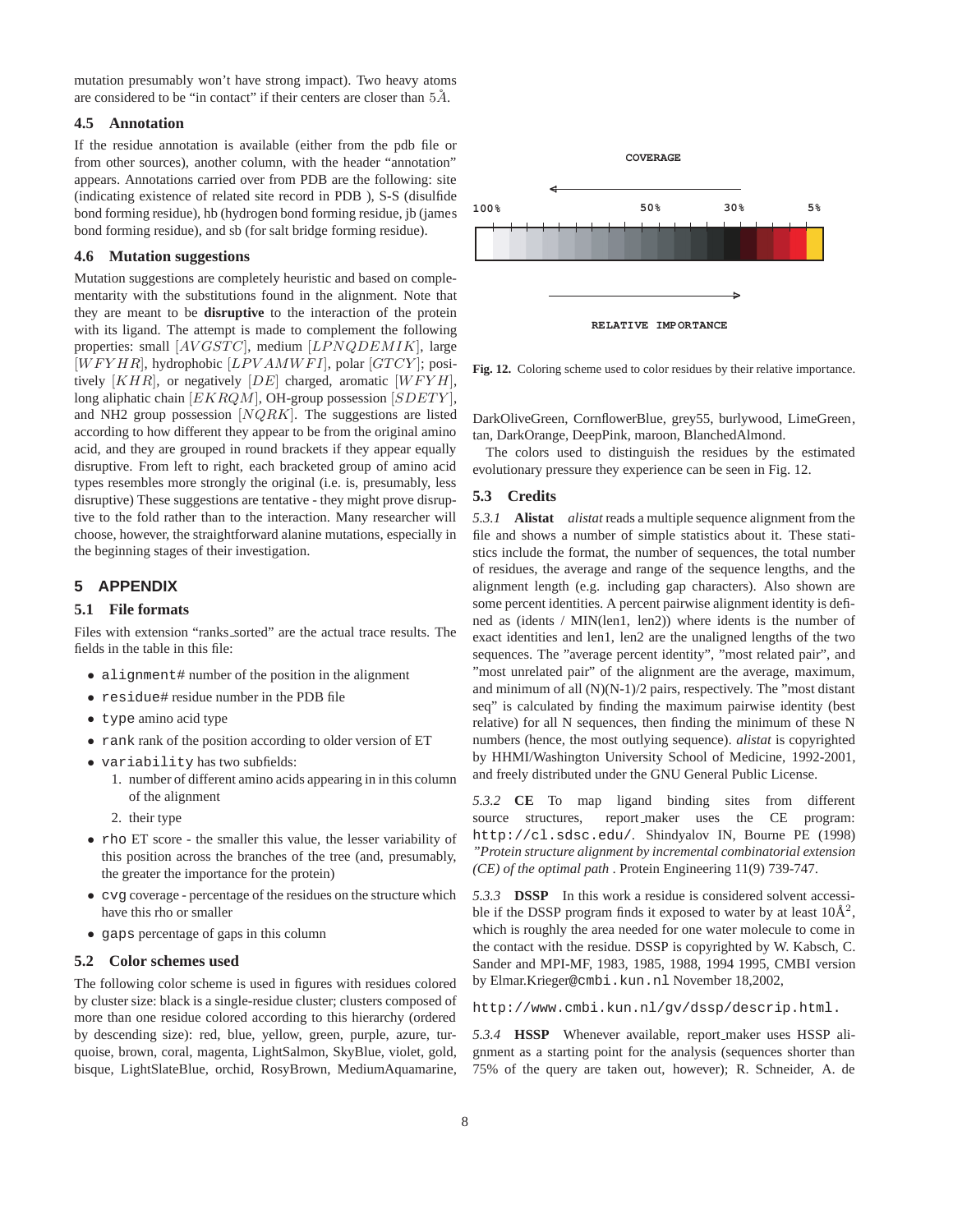mutation presumably won't have strong impact). Two heavy atoms are considered to be "in contact" if their centers are closer than  $5\AA$ .

#### **4.5 Annotation**

If the residue annotation is available (either from the pdb file or from other sources), another column, with the header "annotation" appears. Annotations carried over from PDB are the following: site (indicating existence of related site record in PDB ), S-S (disulfide bond forming residue), hb (hydrogen bond forming residue, jb (james bond forming residue), and sb (for salt bridge forming residue).

#### **4.6 Mutation suggestions**

Mutation suggestions are completely heuristic and based on complementarity with the substitutions found in the alignment. Note that they are meant to be **disruptive** to the interaction of the protein with its ligand. The attempt is made to complement the following properties: small [AVGSTC], medium [LPNQDEMIK], large  $[WFYHR]$ , hydrophobic  $[LPVAMWFI]$ , polar  $[GTCY]$ ; positively  $[KHR]$ , or negatively  $[DE]$  charged, aromatic  $[WFYH]$ , long aliphatic chain  $[EKRQM]$ , OH-group possession  $[SDETY]$ , and NH2 group possession  $[NQRK]$ . The suggestions are listed according to how different they appear to be from the original amino acid, and they are grouped in round brackets if they appear equally disruptive. From left to right, each bracketed group of amino acid types resembles more strongly the original (i.e. is, presumably, less disruptive) These suggestions are tentative - they might prove disruptive to the fold rather than to the interaction. Many researcher will choose, however, the straightforward alanine mutations, especially in the beginning stages of their investigation.

## **5 APPENDIX**

## **5.1 File formats**

Files with extension "ranks sorted" are the actual trace results. The fields in the table in this file:

- alignment# number of the position in the alignment
- residue# residue number in the PDB file
- type amino acid type
- rank rank of the position according to older version of ET
- variability has two subfields:
	- 1. number of different amino acids appearing in in this column of the alignment
	- 2. their type
- rho ET score the smaller this value, the lesser variability of this position across the branches of the tree (and, presumably, the greater the importance for the protein)
- cvg coverage percentage of the residues on the structure which have this rho or smaller
- gaps percentage of gaps in this column

#### **5.2 Color schemes used**

The following color scheme is used in figures with residues colored by cluster size: black is a single-residue cluster; clusters composed of more than one residue colored according to this hierarchy (ordered by descending size): red, blue, yellow, green, purple, azure, turquoise, brown, coral, magenta, LightSalmon, SkyBlue, violet, gold, bisque, LightSlateBlue, orchid, RosyBrown, MediumAquamarine,



**Fig. 12.** Coloring scheme used to color residues by their relative importance.

DarkOliveGreen, CornflowerBlue, grey55, burlywood, LimeGreen, tan, DarkOrange, DeepPink, maroon, BlanchedAlmond.

The colors used to distinguish the residues by the estimated evolutionary pressure they experience can be seen in Fig. 12.

#### **5.3 Credits**

*5.3.1* **Alistat** *alistat* reads a multiple sequence alignment from the file and shows a number of simple statistics about it. These statistics include the format, the number of sequences, the total number of residues, the average and range of the sequence lengths, and the alignment length (e.g. including gap characters). Also shown are some percent identities. A percent pairwise alignment identity is defined as (idents / MIN(len1, len2)) where idents is the number of exact identities and len1, len2 are the unaligned lengths of the two sequences. The "average percent identity", "most related pair", and "most unrelated pair" of the alignment are the average, maximum, and minimum of all (N)(N-1)/2 pairs, respectively. The "most distant seq" is calculated by finding the maximum pairwise identity (best relative) for all N sequences, then finding the minimum of these N numbers (hence, the most outlying sequence). *alistat* is copyrighted by HHMI/Washington University School of Medicine, 1992-2001, and freely distributed under the GNU General Public License.

*5.3.2* **CE** To map ligand binding sites from different source structures, report maker uses the CE program: http://cl.sdsc.edu/. Shindyalov IN, Bourne PE (1998) *"Protein structure alignment by incremental combinatorial extension (CE) of the optimal path* . Protein Engineering 11(9) 739-747.

*5.3.3* **DSSP** In this work a residue is considered solvent accessible if the DSSP program finds it exposed to water by at least  $10\text{\AA}^2$ , which is roughly the area needed for one water molecule to come in the contact with the residue. DSSP is copyrighted by W. Kabsch, C. Sander and MPI-MF, 1983, 1985, 1988, 1994 1995, CMBI version by Elmar.Krieger@cmbi.kun.nl November 18,2002,

http://www.cmbi.kun.nl/gv/dssp/descrip.html.

*5.3.4* **HSSP** Whenever available, report maker uses HSSP alignment as a starting point for the analysis (sequences shorter than 75% of the query are taken out, however); R. Schneider, A. de